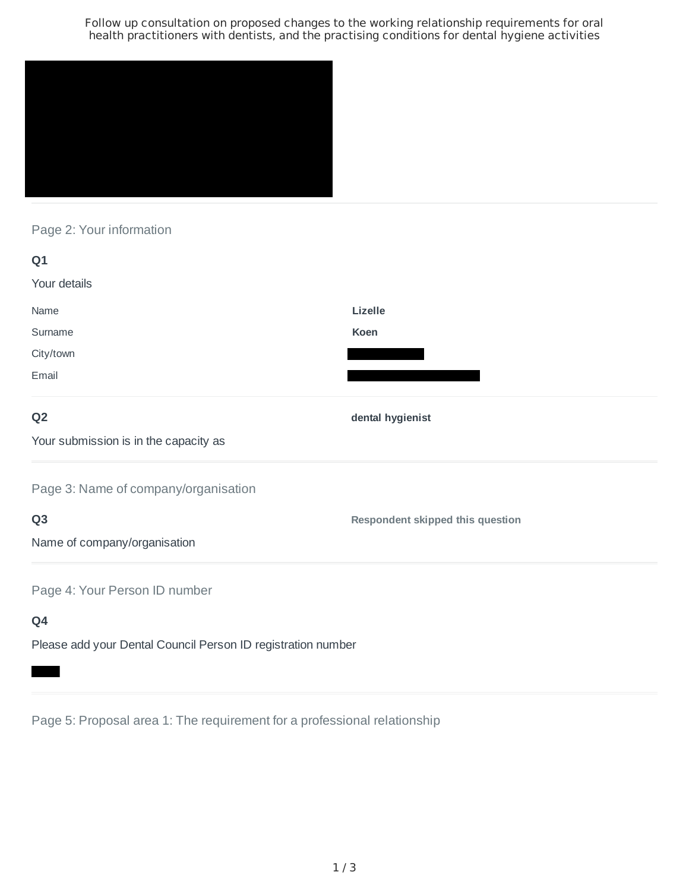Follow up consultation on proposed changes to the working relationship requirements for oral health practitioners with dentists, and the practising conditions for dental hygiene activities



Page 2: Your information

| Q1                                    |                                         |
|---------------------------------------|-----------------------------------------|
| Your details                          |                                         |
| Name                                  | Lizelle                                 |
| Surname                               | Koen                                    |
| City/town                             |                                         |
| Email                                 |                                         |
| Q <sub>2</sub>                        | dental hygienist                        |
| Your submission is in the capacity as |                                         |
| Page 3: Name of company/organisation  |                                         |
| Q <sub>3</sub>                        | <b>Respondent skipped this question</b> |
| Name of company/organisation          |                                         |
| Page 4: Your Person ID number         |                                         |
| Q4                                    |                                         |

Please add your Dental Council Person ID registration number

Page 5: Proposal area 1: The requirement for a professional relationship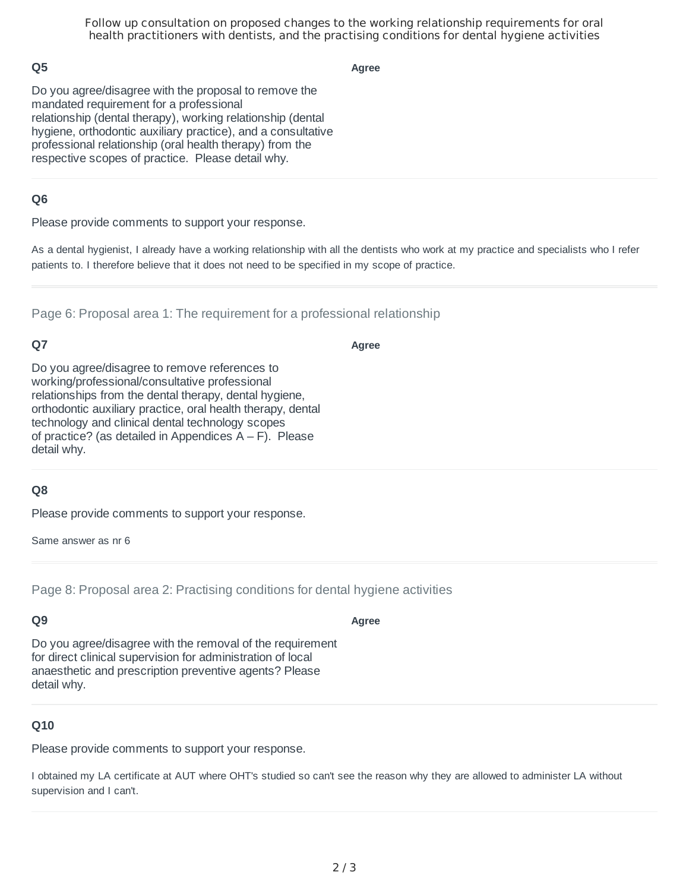Follow up consultation on proposed changes to the working relationship requirements for oral health practitioners with dentists, and the practising conditions for dental hygiene activities

### **Q5**

**Agree**

Do you agree/disagree with the proposal to remove the mandated requirement for a professional relationship (dental therapy), working relationship (dental hygiene, orthodontic auxiliary practice), and a consultative professional relationship (oral health therapy) from the respective scopes of practice. Please detail why.

### **Q6**

Please provide comments to support your response.

As a dental hygienist, I already have a working relationship with all the dentists who work at my practice and specialists who I refer patients to. I therefore believe that it does not need to be specified in my scope of practice.

Page 6: Proposal area 1: The requirement for a professional relationship

# **Q7**

**Agree**

**Agree**

Do you agree/disagree to remove references to working/professional/consultative professional relationships from the dental therapy, dental hygiene, orthodontic auxiliary practice, oral health therapy, dental technology and clinical dental technology scopes of practice? (as detailed in Appendices  $A - F$ ). Please detail why.

#### **Q8**

Please provide comments to support your response.

Same answer as nr 6

Page 8: Proposal area 2: Practising conditions for dental hygiene activities

#### **Q9**

Do you agree/disagree with the removal of the requirement for direct clinical supervision for administration of local anaesthetic and prescription preventive agents? Please detail why.

### **Q10**

Please provide comments to support your response.

I obtained my LA certificate at AUT where OHT's studied so can't see the reason why they are allowed to administer LA without supervision and I can't.